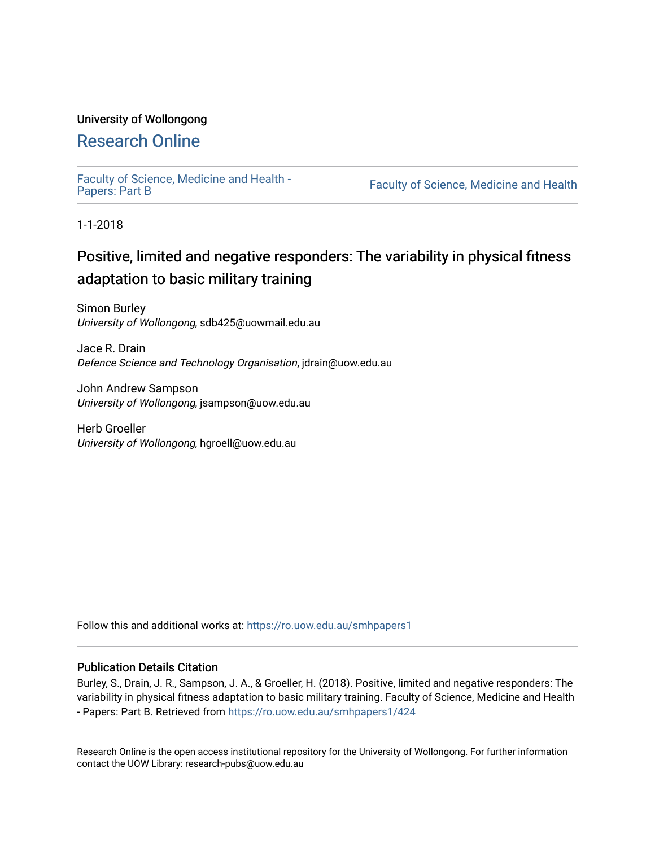## University of Wollongong

# [Research Online](https://ro.uow.edu.au/)

[Faculty of Science, Medicine and Health -](https://ro.uow.edu.au/smhpapers1) Papers: Part B

Faculty of Science, Medicine and Health

1-1-2018

# Positive, limited and negative responders: The variability in physical fitness adaptation to basic military training

Simon Burley University of Wollongong, sdb425@uowmail.edu.au

Jace R. Drain Defence Science and Technology Organisation, jdrain@uow.edu.au

John Andrew Sampson University of Wollongong, jsampson@uow.edu.au

Herb Groeller University of Wollongong, hgroell@uow.edu.au

Follow this and additional works at: [https://ro.uow.edu.au/smhpapers1](https://ro.uow.edu.au/smhpapers1?utm_source=ro.uow.edu.au%2Fsmhpapers1%2F424&utm_medium=PDF&utm_campaign=PDFCoverPages)

### Publication Details Citation

Burley, S., Drain, J. R., Sampson, J. A., & Groeller, H. (2018). Positive, limited and negative responders: The variability in physical fitness adaptation to basic military training. Faculty of Science, Medicine and Health - Papers: Part B. Retrieved from [https://ro.uow.edu.au/smhpapers1/424](https://ro.uow.edu.au/smhpapers1/424?utm_source=ro.uow.edu.au%2Fsmhpapers1%2F424&utm_medium=PDF&utm_campaign=PDFCoverPages) 

Research Online is the open access institutional repository for the University of Wollongong. For further information contact the UOW Library: research-pubs@uow.edu.au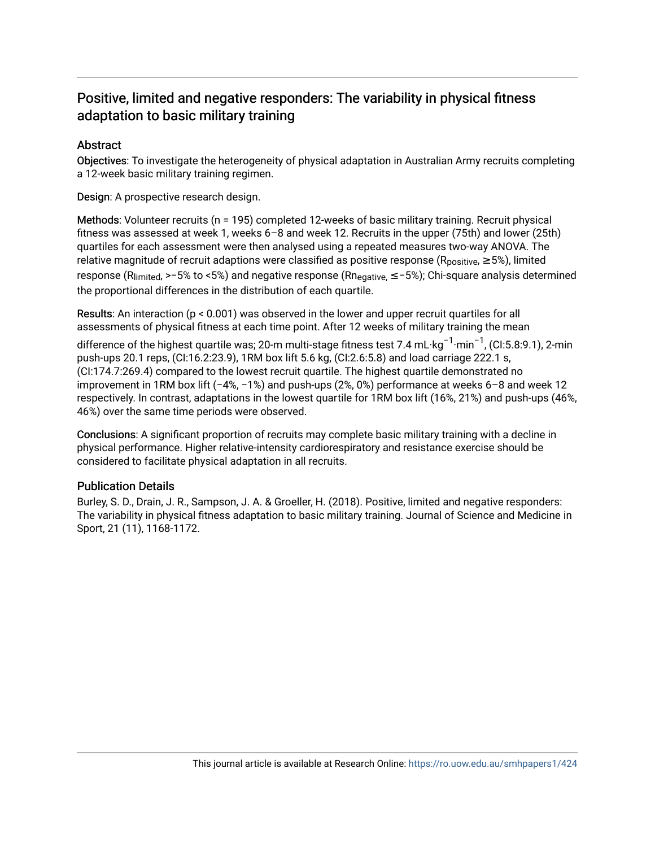## Positive, limited and negative responders: The variability in physical fitness adaptation to basic military training

### **Abstract**

Objectives: To investigate the heterogeneity of physical adaptation in Australian Army recruits completing a 12-week basic military training regimen.

Design: A prospective research design.

Methods: Volunteer recruits (n = 195) completed 12-weeks of basic military training. Recruit physical fitness was assessed at week 1, weeks 6–8 and week 12. Recruits in the upper (75th) and lower (25th) quartiles for each assessment were then analysed using a repeated measures two-way ANOVA. The relative magnitude of recruit adaptions were classified as positive response ( $R_{positive} \ge 5\%$ ), limited response (Rlimited, >−5% to <5%) and negative response (Rnegative, ≤−5%); Chi-square analysis determined the proportional differences in the distribution of each quartile.

Results: An interaction (p < 0.001) was observed in the lower and upper recruit quartiles for all assessments of physical fitness at each time point. After 12 weeks of military training the mean

difference of the highest quartile was; 20-m multi-stage fitness test 7.4 mL·kg<sup>−1.</sup>min<sup>−1</sup>, (CI:5.8:9.1), 2-min push-ups 20.1 reps, (CI:16.2:23.9), 1RM box lift 5.6 kg, (CI:2.6:5.8) and load carriage 222.1 s, (CI:174.7:269.4) compared to the lowest recruit quartile. The highest quartile demonstrated no improvement in 1RM box lift (−4%, −1%) and push-ups (2%, 0%) performance at weeks 6–8 and week 12 respectively. In contrast, adaptations in the lowest quartile for 1RM box lift (16%, 21%) and push-ups (46%, 46%) over the same time periods were observed.

Conclusions: A significant proportion of recruits may complete basic military training with a decline in physical performance. Higher relative-intensity cardiorespiratory and resistance exercise should be considered to facilitate physical adaptation in all recruits.

### Publication Details

Burley, S. D., Drain, J. R., Sampson, J. A. & Groeller, H. (2018). Positive, limited and negative responders: The variability in physical fitness adaptation to basic military training. Journal of Science and Medicine in Sport, 21 (11), 1168-1172.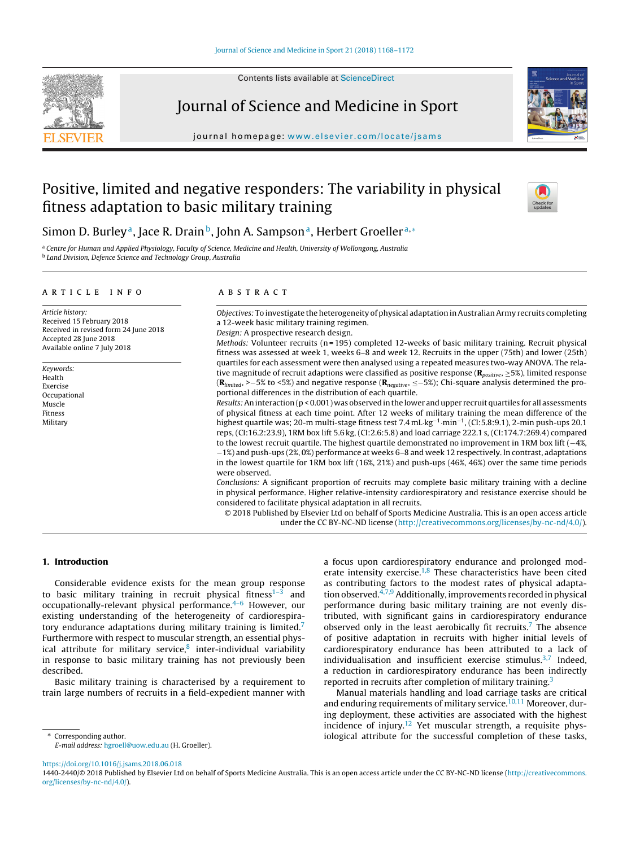



## Journal of Science and Medicine in Sport

journal homepage: [www.elsevier.com/locate/jsams](http://www.elsevier.com/locate/jsams)



## Positive, limited and negative responders: The variability in physical fitness adaptation to basic military training



## Simon D. Burley<sup>a</sup>, Jace R. Drain<sup>b</sup>, John A. Sampson<sup>a</sup>, Herbert Groeller<sup>a,\*</sup>

a Centre for Human and Applied Physiology, Faculty of Science, Medicine and Health, University of Wollongong, Australia <sup>b</sup> Land Division, Defence Science and Technology Group, Australia

#### a r t i c l e i n f o

Article history: Received 15 February 2018 Received in revised form 24 June 2018 Accepted 28 June 2018 Available online 7 July 2018

Keywords: Health Exercise Occupational Muscle Fitness Military

#### A B S T R A C T

Objectives: To investigate the heterogeneity of physical adaptation in Australian Army recruits completing a 12-week basic military training regimen. Design: A prospective research design.

Methods: Volunteer recruits (n = 195) completed 12-weeks of basic military training. Recruit physical fitness was assessed at week 1, weeks 6–8 and week 12. Recruits in the upper (75th) and lower (25th) quartiles for each assessment were then analysed using a repeated measures two-way ANOVA. The relative magnitude of recruit adaptions were classified as positive response (**R**positive, ≥5%), limited response (**R**limited, >−5% to <5%) and negative response (**R**negative, ≤−5%); Chi-square analysis determined the proportional differences in the distribution of each quartile.

Results: An interaction ( $p < 0.001$ ) was observed in the lower and upper recruit quartiles for all assessments of physical fitness at each time point. After 12 weeks of military training the mean difference of the highest quartile was; 20-m multi-stage fitness test 7.4 mL·kg−<sup>1</sup>·min−1, (CI:5.8:9.1), 2-min push-ups 20.1 reps, (CI:16.2:23.9), 1RM box lift 5.6 kg, (CI:2.6:5.8) and load carriage 222.1 s, (CI:174.7:269.4) compared to the lowest recruit quartile. The highest quartile demonstrated no improvement in 1RM box lift (−4%, −1%) and push-ups (2%, 0%) performance at weeks 6–8 and week 12 respectively. In contrast, adaptations in the lowest quartile for 1RM box lift (16%, 21%) and push-ups (46%, 46%) over the same time periods were observed.

Conclusions: A significant proportion of recruits may complete basic military training with a decline in physical performance. Higher relative-intensity cardiorespiratory and resistance exercise should be considered to facilitate physical adaptation in all recruits.

© 2018 Published by Elsevier Ltd on behalf of Sports Medicine Australia. This is an open access article under the CC BY-NC-ND license [\(http://creativecommons.org/licenses/by-nc-nd/4.0/](http://creativecommons.org/licenses/by-nc-nd/4.0/)).

#### **1. Introduction**

Considerable evidence exists for the mean group response to basic military training in recruit physical fitness $1-3$  and occupationally-relevant physical performance.<sup>4-6</sup> However, our existing understanding of the heterogeneity of cardiorespiratory endurance adaptations during military training is limited.<sup>7</sup> Furthermore with respect to muscular strength, an essential physical attribute for military service, $8$  inter-individual variability in response to basic military training has not previously been described.

Basic military training is characterised by a requirement to train large numbers of recruits in a field-expedient manner with

∗ Corresponding author. E-mail address: [hgroell@uow.edu.au](mailto:hgroell@uow.edu.au) (H. Groeller). a focus upon cardiorespiratory endurance and prolonged moderate intensity exercise. $1,8$  These characteristics have been cited as contributing factors to the modest rates of physical adaptation observed. $4,7,9$  Additionally, improvements recorded in physical performance during basic military training are not evenly distributed, with significant gains in cardiorespiratory endurance observed only in the least aerobically fit recruits.<sup>7</sup> The absence of positive adaptation in recruits with higher initial levels of cardiorespiratory endurance has been attributed to a lack of individualisation and insufficient exercise stimulus. $3,7$  Indeed, a reduction in cardiorespiratory endurance has been indirectly reported in recruits after completion of military training.<sup>[3](#page-6-0)</sup>

Manual materials handling and load carriage tasks are critical and enduring requirements of military service.<sup>10,11</sup> Moreover, during deployment, these activities are associated with the highest incidence of injury.<sup>[12](#page-6-0)</sup> Yet muscular strength, a requisite physiological attribute for the successful completion of these tasks,

<https://doi.org/10.1016/j.jsams.2018.06.018>

<sup>1440-2440/©</sup> 2018 Published by Elsevier Ltd on behalf of Sports Medicine Australia. This is an open access article under the CC BY-NC-ND license [\(http://creativecommons.](http://creativecommons.org/licenses/by-nc-nd/4.0/) [org/licenses/by-nc-nd/4.0/\)](http://creativecommons.org/licenses/by-nc-nd/4.0/).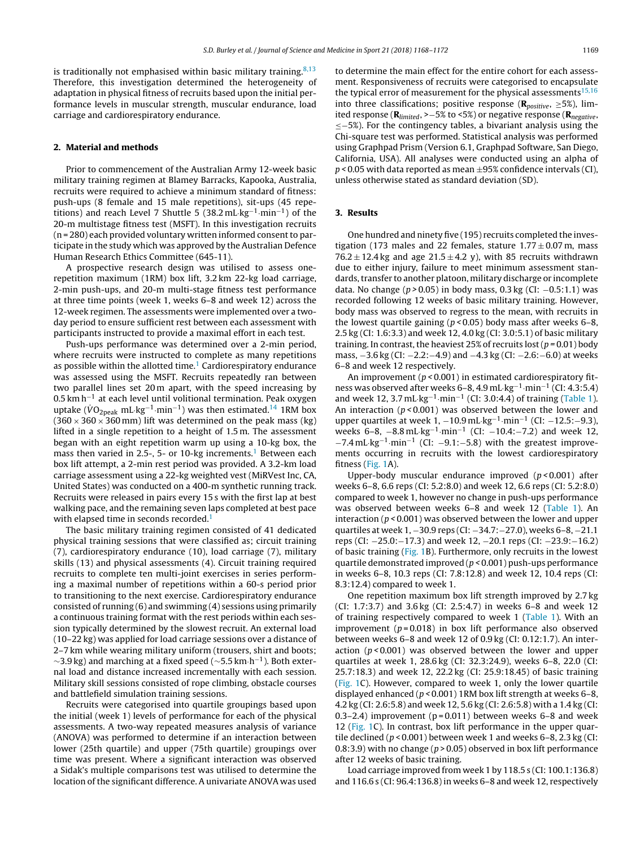is traditionally not emphasised within basic military training  $8,13$ Therefore, this investigation determined the heterogeneity of adaptation in physical fitness of recruits based upon the initial performance levels in muscular strength, muscular endurance, load carriage and cardiorespiratory endurance.

#### **2. Material and methods**

Prior to commencement of the Australian Army 12-week basic military training regimen at Blamey Barracks, Kapooka, Australia, recruits were required to achieve a minimum standard of fitness: push-ups (8 female and 15 male repetitions), sit-ups (45 repetitions) and reach Level 7 Shuttle 5 (38.2 mL·kg<sup>-1</sup>·min<sup>-1</sup>) of the 20-m multistage fitness test (MSFT). In this investigation recruits  $(n = 280)$  each provided voluntary written informed consent to participate in the study which was approved by the Australian Defence Human Research Ethics Committee (645-11).

A prospective research design was utilised to assess onerepetition maximum (1RM) box lift, 3.2 km 22-kg load carriage, 2-min push-ups, and 20-m multi-stage fitness test performance at three time points (week 1, weeks 6–8 and week 12) across the 12-week regimen. The assessments were implemented over a twoday period to ensure sufficient rest between each assessment with participants instructed to provide a maximal effort in each test.

Push-ups performance was determined over a 2-min period, where recruits were instructed to complete as many repetitions as possible within the allotted time.<sup>[1](#page-6-0)</sup> Cardiorespiratory endurance was assessed using the MSFT. Recruits repeatedly ran between two parallel lines set 20 m apart, with the speed increasing by  $0.5$  km h<sup>-1</sup> at each level until volitional termination. Peak oxygen uptake ( $\dot{V}O_{2\text{peak}}$  mL·kg<sup>-1</sup>·min<sup>-1</sup>) was then estimated.<sup>14</sup> 1RM box  $(360 \times 360 \times 360 \text{ mm})$  lift was determined on the peak mass (kg) lifted in a single repetition to a height of 1.5 m. The assessment began with an eight repetition warm up using a 10-kg box, the mass then varied in 2.5-, 5- or [1](#page-6-0)0-kg increments.<sup>1</sup> Between each box lift attempt, a 2-min rest period was provided. A 3.2-km load carriage assessment using a 22-kg weighted vest (MiRVest Inc, CA, United States) was conducted on a 400-m synthetic running track. Recruits were released in pairs every 15 s with the first lap at best walking pace, and the remaining seven laps completed at best pace with elapsed time in seconds recorded.<sup>1</sup>

The basic military training regimen consisted of 41 dedicated physical training sessions that were classified as; circuit training (7), cardiorespiratory endurance (10), load carriage (7), military skills (13) and physical assessments (4). Circuit training required recruits to complete ten multi-joint exercises in series performing a maximal number of repetitions within a 60-s period prior to transitioning to the next exercise. Cardiorespiratory endurance consisted of running (6) and swimming (4) sessions using primarily a continuous training format with the rest periods within each session typically determined by the slowest recruit. An external load (10–22 kg) was applied for load carriage sessions over a distance of 2–7 km while wearing military uniform (trousers, shirt and boots;  $\sim$ 3.9 kg) and marching at a fixed speed ( $\sim$ 5.5 km⋅h<sup>-1</sup>). Both external load and distance increased incrementally with each session. Military skill sessions consisted of rope climbing, obstacle courses and battlefield simulation training sessions.

Recruits were categorised into quartile groupings based upon the initial (week 1) levels of performance for each of the physical assessments. A two-way repeated measures analysis of variance (ANOVA) was performed to determine if an interaction between lower (25th quartile) and upper (75th quartile) groupings over time was present. Where a significant interaction was observed a Sidak's multiple comparisons test was utilised to determine the location of the significant difference. A univariate ANOVA was used

to determine the main effect for the entire cohort for each assessment. Responsiveness of recruits were categorised to encapsulate the typical error of measurement for the physical assessments $15,16$ into three classifications; positive response ( $\mathbf{R}_{positive}$ ,  $\geq$ 5%), limited response (**R**limited, >−5% to <5%) or negative response (**R**negative, ≤−5%). For the contingency tables, a bivariant analysis using the Chi-square test was performed. Statistical analysis was performed using Graphpad Prism (Version 6.1, Graphpad Software, San Diego, California, USA). All analyses were conducted using an alpha of  $p$  < 0.05 with data reported as mean  $\pm$ 95% confidence intervals (CI), unless otherwise stated as standard deviation (SD).

#### **3. Results**

One hundred and ninety five (195) recruits completed the investigation (173 males and 22 females, stature  $1.77 \pm 0.07$  m, mass  $76.2 \pm 12.4$  kg and age  $21.5 \pm 4.2$  y), with 85 recruits withdrawn due to either injury, failure to meet minimum assessment standards, transfer to another platoon, military discharge or incomplete data. No change ( $p > 0.05$ ) in body mass, 0.3 kg (CI: −0.5:1.1) was recorded following 12 weeks of basic military training. However, body mass was observed to regress to the mean, with recruits in the lowest quartile gaining ( $p$  < 0.05) body mass after weeks 6–8, 2.5 kg (CI: 1.6:3.3) and week 12, 4.0 kg (CI: 3.0:5.1) of basic military training. In contrast, the heaviest 25% of recruits lost ( $p = 0.01$ ) body mass, −3.6 kg (CI: −2.2:−4.9) and −4.3 kg (CI: −2.6:−6.0) at weeks 6–8 and week 12 respectively.

An improvement ( $p < 0.001$ ) in estimated cardiorespiratory fitness was observed after weeks 6–8, 4.9 mL·kg−1·min−<sup>1</sup> (CI: 4.3:5.4) and week 12, 3.7 mL·kg<sup>-1</sup>·min<sup>-1</sup> (CI: 3.0:4.4) of training [\(Table](#page-4-0) 1). An interaction  $(p < 0.001)$  was observed between the lower and upper quartiles at week 1,  $-10.9$  mL·kg<sup>-1</sup>·min<sup>-1</sup> (CI:  $-12.5$ : -9.3), weeks 6–8, <sup>−</sup>8.8 mL·kg−1·min−<sup>1</sup> (CI: <sup>−</sup>10.4:−7.2) and week 12,  $-7.4$  mL·kg<sup>-1</sup>·min<sup>-1</sup> (CI: -9.1:-5.8) with the greatest improvements occurring in recruits with the lowest cardiorespiratory fitness [\(Fig.](#page-4-0) 1A).

Upper-body muscular endurance improved  $(p < 0.001)$  after weeks 6–8, 6.6 reps (CI: 5.2:8.0) and week 12, 6.6 reps (CI: 5.2:8.0) compared to week 1, however no change in push-ups performance was observed between weeks 6–8 and week 12 ([Table](#page-4-0) 1). An interaction ( $p < 0.001$ ) was observed between the lower and upper quartiles at week 1, −30.9 reps (CI: −34.7:−27.0), weeks 6–8, −21.1 reps (CI: −25.0:−17.3) and week 12, −20.1 reps (CI: −23.9:−16.2) of basic training ([Fig.](#page-4-0) 1B). Furthermore, only recruits in the lowest quartile demonstrated improved ( $p$  < 0.001) push-ups performance in weeks 6–8, 10.3 reps (CI: 7.8:12.8) and week 12, 10.4 reps (CI: 8.3:12.4) compared to week 1.

One repetition maximum box lift strength improved by 2.7 kg (CI: 1.7:3.7) and 3.6 kg (CI: 2.5:4.7) in weeks 6–8 and week 12 of training respectively compared to week 1 ([Table](#page-4-0) 1). With an improvement ( $p = 0.018$ ) in box lift performance also observed between weeks 6–8 and week 12 of 0.9 kg (CI: 0.12:1.7). An interaction ( $p$  < 0.001) was observed between the lower and upper quartiles at week 1, 28.6 kg (CI: 32.3:24.9), weeks 6–8, 22.0 (CI: 25.7:18.3) and week 12, 22.2 kg (CI: 25.9:18.45) of basic training [\(Fig.](#page-4-0) 1C). However, compared to week 1, only the lower quartile displayed enhanced ( $p < 0.001$ ) 1RM box lift strength at weeks 6–8, 4.2 kg (CI: 2.6:5.8) and week 12, 5.6 kg (CI: 2.6:5.8) with a 1.4 kg (CI: 0.3–2.4) improvement ( $p = 0.011$ ) between weeks 6–8 and week 12 ([Fig.](#page-4-0) 1C). In contrast, box lift performance in the upper quartile declined ( $p < 0.001$ ) between week 1 and weeks 6–8, 2.3 kg (CI: 0.8:3.9) with no change ( $p > 0.05$ ) observed in box lift performance after 12 weeks of basic training.

Load carriage improved from week 1 by 118.5 s (CI: 100.1:136.8) and 116.6 s (CI: 96.4:136.8) in weeks 6–8 and week 12, respectively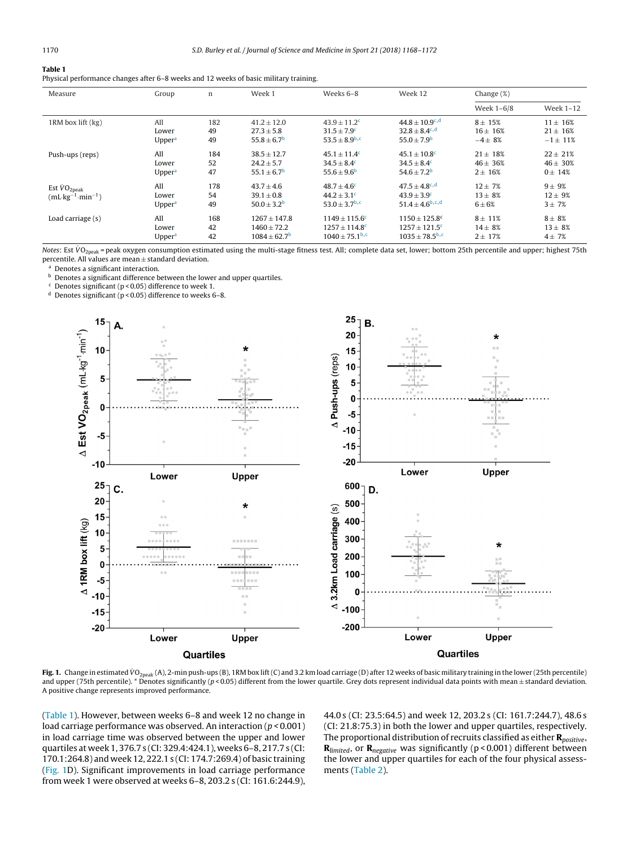#### <span id="page-4-0"></span>**Table 1**

|  | Physical performance changes after 6–8 weeks and 12 weeks of basic military training. |  |  |  |  |  |
|--|---------------------------------------------------------------------------------------|--|--|--|--|--|
|--|---------------------------------------------------------------------------------------|--|--|--|--|--|

| Measure                                                                | Group                              | n               | Week 1                                                     | Weeks 6-8                                                      | Week 12                                                                    | Change $(\%)$                          |                                          |
|------------------------------------------------------------------------|------------------------------------|-----------------|------------------------------------------------------------|----------------------------------------------------------------|----------------------------------------------------------------------------|----------------------------------------|------------------------------------------|
|                                                                        |                                    |                 |                                                            |                                                                |                                                                            | Week 1-6/8                             | Week 1-12                                |
| 1RM box lift (kg)                                                      | All                                | 182             | $41.2 \pm 12.0$                                            | $43.9 \pm 11.2$ <sup>c</sup>                                   | $44.8 \pm 10.9^{\circ.4}$                                                  | $8 \pm 15%$                            | $11 \pm 16%$                             |
|                                                                        | Lower                              | 49              | $27.3 \pm 5.8$                                             | $31.5 \pm 7.9^c$                                               | $32.8 \pm 8.4^{\circ,d}$                                                   | $16 \pm 16%$                           | $21 \pm 16\%$                            |
|                                                                        | Upper <sup>a</sup>                 | 49              | $55.8 \pm 6.7^{\rm b}$                                     | $53.5 \pm 8.9^{b,c}$                                           | $55.0 \pm 7.9^{\rm b}$                                                     | $-4 \pm 8%$                            | $-1 \pm 11\%$                            |
| Push-ups (reps)                                                        | All                                | 184             | $38.5 \pm 12.7$                                            | $45.1 \pm 11.4^c$                                              | $45.1 \pm 10.8$ <sup>c</sup>                                               | $21 \pm 18\%$                          | $22 \pm 21\%$                            |
|                                                                        | Lower                              | 52              | $24.2 \pm 5.7$                                             | $34.5 \pm 8.4^c$                                               | $34.5 \pm 8.4^c$                                                           | $46 \pm 36%$                           | $46 \pm 30\%$                            |
|                                                                        | Upper <sup>a</sup>                 | 47              | $55.1 \pm 6.7$ <sup>b</sup>                                | $55.6 \pm 9.6^{\circ}$                                         | $54.6 \pm 7.2^{\rm b}$                                                     | $2 \pm 16%$                            | $0 \pm 14%$                              |
| Est $\dot{V}O_{2\text{peak}}$<br>$(mL \text{ kg}^{-1} \cdot min^{-1})$ | All<br>Lower<br>Upper <sup>a</sup> | 178<br>54<br>49 | $43.7 \pm 4.6$<br>$39.1 \pm 0.8$<br>$50.0 \pm 3.2^{\rm b}$ | $48.7 + 4.6^c$<br>$44.2 \pm 3.1^c$<br>$53.0 \pm 3.7^{\rm b,c}$ | $47.5 \pm 4.8^{\circ d}$<br>$43.9 \pm 3.9^{\circ}$<br>$51.4 + 4.6^{b,c,d}$ | $12 + 7%$<br>$13 \pm 8%$<br>$6\pm 6\%$ | $9 \pm 9\%$<br>$12 \pm 9%$<br>$3 \pm 7%$ |
| Load carriage (s)                                                      | All                                | 168             | $1267 \pm 147.8$                                           | $1149 \pm 115.6^c$                                             | $1150 \pm 125.8$ c                                                         | $8 \pm 11\%$                           | $8\pm8\%$                                |
|                                                                        | Lower                              | 42              | $1460 \pm 72.2$                                            | $1257 \pm 114.8$ <sup>c</sup>                                  | $1257 \pm 121.5$ <sup>c</sup>                                              | $14 \pm 8%$                            | $13 \pm 8%$                              |
|                                                                        | Upper <sup>a</sup>                 | 42              | $1084 \pm 62.7$ <sup>b</sup>                               | $1040 + 75.1$ <sup>b,c</sup>                                   | $1035 \pm 78.5^{\rm b,c}$                                                  | $2 \pm 17%$                            | $4 \pm 7%$                               |

Notes: Est VO<sub>2peak</sub> = peak oxygen consumption estimated using the multi-stage fitness test. All; complete data set, lower; bottom 25th percentile and upper; highest 75th percentile. All values are mean ± standard deviation.

Denotes a significant interaction.

**b** Denotes a significant difference between the lower and upper quartiles.

 $c$  Denotes significant (p < 0.05) difference to week 1.

<sup>d</sup> Denotes significant ( $p$  < 0.05) difference to weeks 6-8.



Fig. 1. Change in estimated VO<sub>2peak</sub> (A), 2-min push-ups (B), 1RM box lift (C) and 3.2 km load carriage (D) after 12 weeks of basic military training in the lower (25th percentile) and upper (75th percentile). \* Denotes significantly ( $p < 0.05$ ) different from the lower quartile. Grey dots represent individual data points with mean  $\pm$  standard deviation. A positive change represents improved performance.

(Table 1). However, between weeks 6–8 and week 12 no change in load carriage performance was observed. An interaction  $(p < 0.001)$ in load carriage time was observed between the upper and lower quartiles at week 1, 376.7 s (CI: 329.4:424.1), weeks 6–8, 217.7 s (CI: 170.1:264.8) and week 12, 222.1 s (CI: 174.7:269.4) of basic training (Fig. 1D). Significant improvements in load carriage performance from week 1 were observed at weeks 6–8, 203.2 s (CI: 161.6:244.9),

44.0 s (CI: 23.5:64.5) and week 12, 203.2 s (CI: 161.7:244.7), 48.6 s (CI: 21.8:75.3) in both the lower and upper quartiles, respectively. The proportional distribution of recruits classified as either **R**<sub>positive</sub>, **R**<sub>limited</sub>, or **R**<sub>negative</sub> was significantly (p < 0.001) different between the lower and upper quartiles for each of the four physical assessments [\(Table](#page-5-0) 2).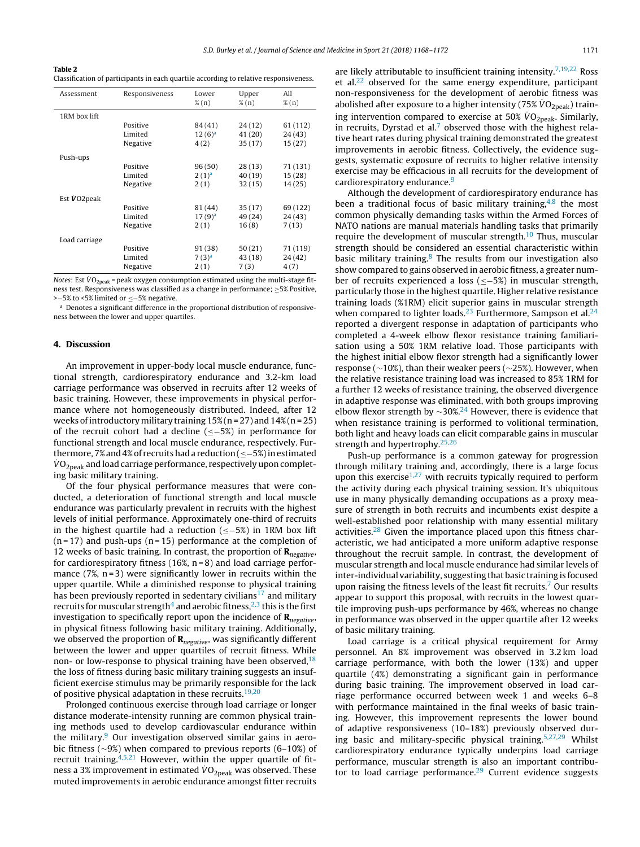<span id="page-5-0"></span>

| Table 2                                                                               |
|---------------------------------------------------------------------------------------|
| Classification of participants in each quartile according to relative responsiveness. |

| Assessment           | Responsiveness | Lower<br>$\%$ (n) | Upper<br>$\%$ (n) | All<br>$\%$ (n) |
|----------------------|----------------|-------------------|-------------------|-----------------|
| 1RM box lift         |                |                   |                   |                 |
|                      | Positive       | 84 (41)           | 24(12)            | 61 (112)        |
|                      | Limited        | $12(6)^a$         | 41 (20)           | 24(43)          |
|                      | Negative       | 4(2)              | 35(17)            | 15(27)          |
| Push-ups             |                |                   |                   |                 |
|                      | Positive       | 96(50)            | 28(13)            | 71 (131)        |
|                      | Limited        | $2(1)^a$          | 40 (19)           | 15(28)          |
|                      | Negative       | 2(1)              | 32(15)            | 14(25)          |
| Est $\dot{V}$ O2peak |                |                   |                   |                 |
|                      | Positive       | 81 (44)           | 35(17)            | 69 (122)        |
|                      | Limited        | $17(9)^a$         | 49 (24)           | 24(43)          |
|                      | Negative       | 2(1)              | 16(8)             | 7(13)           |
| Load carriage        |                |                   |                   |                 |
|                      | Positive       | 91 (38)           | 50(21)            | 71 (119)        |
|                      | Limited        | $7(3)^{a}$        | 43 (18)           | 24 (42)         |
|                      | Negative       | 2(1)              | 7(3)              | 4(7)            |
|                      |                |                   |                   |                 |

Notes: Est  $\dot{V}O_{2\text{neak}}$  = peak oxygen consumption estimated using the multi-stage fitness test. Responsiveness was classified as a change in performance; ≥5% Positive, >−5% to <5% limited or ≤−5% negative.

<sup>a</sup> Denotes a significant difference in the proportional distribution of responsiveness between the lower and upper quartiles.

#### **4. Discussion**

An improvement in upper-body local muscle endurance, functional strength, cardiorespiratory endurance and 3.2-km load carriage performance was observed in recruits after 12 weeks of basic training. However, these improvements in physical performance where not homogeneously distributed. Indeed, after 12 weeks of introductory military training  $15\%$  (n = 27) and  $14\%$  (n = 25) of the recruit cohort had a decline (≤−5%) in performance for functional strength and local muscle endurance, respectively. Furthermore, 7%and4%of recruitshada reduction(≤−5%)inestimated  $\dot{V}O_{\text{2neak}}$  and load carriage performance, respectively upon completing basic military training.

Of the four physical performance measures that were conducted, a deterioration of functional strength and local muscle endurance was particularly prevalent in recruits with the highest levels of initial performance. Approximately one-third of recruits in the highest quartile had a reduction (≤−5%) in 1RM box lift  $(n=17)$  and push-ups  $(n=15)$  performance at the completion of 12 weeks of basic training. In contrast, the proportion of **R**<sub>negative</sub>, for cardiorespiratory fitness (16%,  $n = 8$ ) and load carriage performance  $(7\%, n=3)$  were significantly lower in recruits within the upper quartile. While a diminished response to physical training has been previously reported in sedentary civilians<sup>17</sup> and military recruits for muscular strength<sup>4</sup> and aerobic fitness,  $2,3$  this is the first investigation to specifically report upon the incidence of **R**<sub>negative</sub>, in physical fitness following basic military training. Additionally, we observed the proportion of **R**<sub>negative</sub>, was significantly different between the lower and upper quartiles of recruit fitness. While non- or low-response to physical training have been observed,  $18$ the loss of fitness during basic military training suggests an insufficient exercise stimulus may be primarily responsible for the lack of positive physical adaptation in these recruits.<sup>[19,20](#page-6-0)</sup>

Prolonged continuous exercise through load carriage or longer distance moderate-intensity running are common physical training methods used to develop cardiovascular endurance within the military.<sup>9</sup> Our investigation observed similar gains in aerobic fitness (∼9%) when compared to previous reports (6–10%) of recruit training. $4,5,21$  However, within the upper quartile of fitness a 3% improvement in estimated  $VO<sub>2peak</sub>$  was observed. These muted improvements in aerobic endurance amongst fitter recruits

are likely attributable to insufficient training intensity.<sup>[7,19,22](#page-6-0)</sup> Ross et al.<sup>[22](#page-6-0)</sup> observed for the same energy expenditure, participant non-responsiveness for the development of aerobic fitness was abolished after exposure to a higher intensity (75%  $\dot{V}O_{2\text{peak}}$ ) training intervention compared to exercise at 50%  $\rm \dot{VO}_{2peak}$ . Similarly, in recruits, Dyrstad et al.<sup>7</sup> observed those with the highest relative heart rates during physical training demonstrated the greatest improvements in aerobic fitness. Collectively, the evidence suggests, systematic exposure of recruits to higher relative intensity exercise may be efficacious in all recruits for the development of cardiorespiratory endurance.<sup>[9](#page-6-0)</sup>

Although the development of cardiorespiratory endurance has been a traditional focus of basic military training, $4,8$  the most common physically demanding tasks within the Armed Forces of NATO nations are manual materials handling tasks that primarily require the development of muscular strength.[10](#page-6-0) Thus, muscular strength should be considered an essential characteristic within basic military training. $8$  The results from our investigation also show compared to gains observed in aerobic fitness, a greater number of recruits experienced a loss (≤−5%) in muscular strength, particularly those in the highest quartile. Higher relative resistance training loads (%1RM) elicit superior gains in muscular strength when compared to lighter loads.<sup>23</sup> Furthermore, Sampson et al. $24$ reported a divergent response in adaptation of participants who completed a 4-week elbow flexor resistance training familiarisation using a 50% 1RM relative load. Those participants with the highest initial elbow flexor strength had a significantly lower response (∼10%), than their weaker peers (∼25%). However, when the relative resistance training load was increased to 85% 1RM for a further 12 weeks of resistance training, the observed divergence in adaptive response was eliminated, with both groups improving elbow flexor strength by  $\sim$ 30%.<sup>[24](#page-6-0)</sup> However, there is evidence that when resistance training is performed to volitional termination, both light and heavy loads can elicit comparable gains in muscular strength and hypertrophy.[25,26](#page-6-0)

Push-up performance is a common gateway for progression through military training and, accordingly, there is a large focus upon this exercise<sup>[1,27](#page-6-0)</sup> with recruits typically required to perform the activity during each physical training session. It's ubiquitous use in many physically demanding occupations as a proxy measure of strength in both recruits and incumbents exist despite a well-established poor relationship with many essential military activities.<sup>[28](#page-6-0)</sup> Given the importance placed upon this fitness characteristic, we had anticipated a more uniform adaptive response throughout the recruit sample. In contrast, the development of muscular strength and local muscle endurance had similar levels of inter-individual variability, suggesting that basic training is focused upon raising the fitness levels of the least fit recruits[.7](#page-6-0) Our results appear to support this proposal, with recruits in the lowest quartile improving push-ups performance by 46%, whereas no change in performance was observed in the upper quartile after 12 weeks of basic military training.

Load carriage is a critical physical requirement for Army personnel. An 8% improvement was observed in 3.2 km load carriage performance, with both the lower (13%) and upper quartile (4%) demonstrating a significant gain in performance during basic training. The improvement observed in load carriage performance occurred between week 1 and weeks 6–8 with performance maintained in the final weeks of basic training. However, this improvement represents the lower bound of adaptive responsiveness (10–18%) previously observed during basic and military-specific physical training[.5,27,29](#page-6-0) Whilst cardiorespiratory endurance typically underpins load carriage performance, muscular strength is also an important contribu-tor to load carriage performance.<sup>[29](#page-6-0)</sup> Current evidence suggests